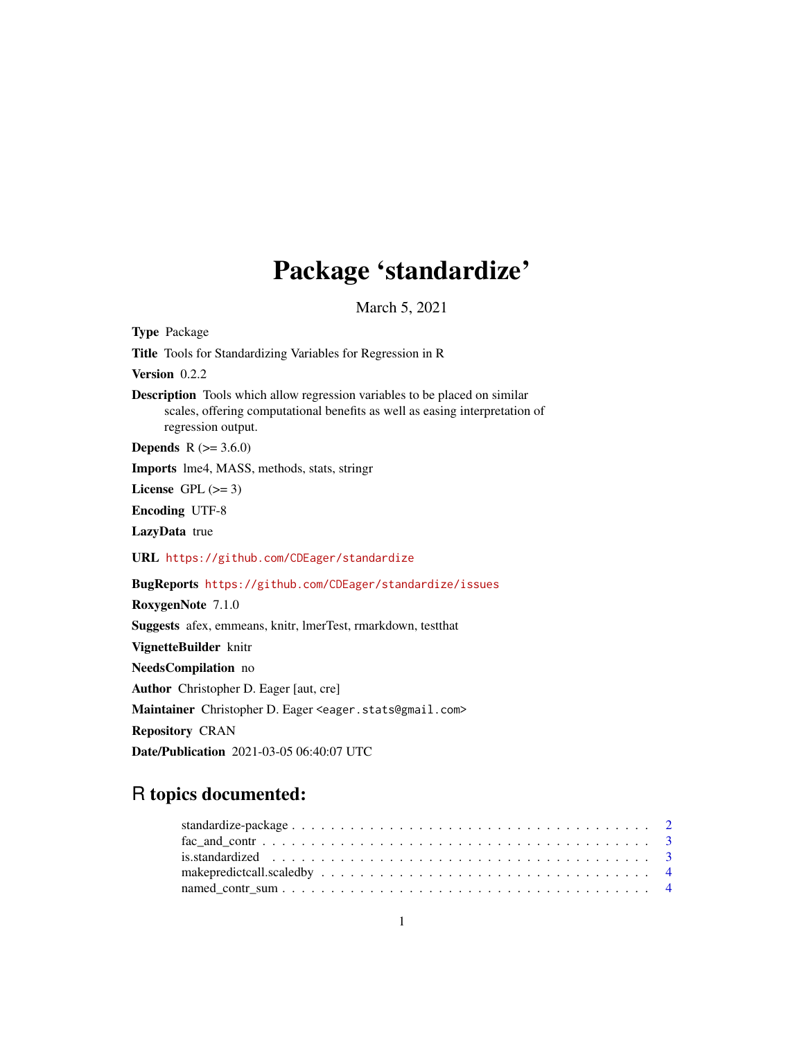## Package 'standardize'

March 5, 2021

<span id="page-0-0"></span>Type Package Title Tools for Standardizing Variables for Regression in R Version 0.2.2 Description Tools which allow regression variables to be placed on similar scales, offering computational benefits as well as easing interpretation of regression output. **Depends** R  $(>= 3.6.0)$ Imports lme4, MASS, methods, stats, stringr License GPL  $(>= 3)$ Encoding UTF-8 LazyData true URL <https://github.com/CDEager/standardize> BugReports <https://github.com/CDEager/standardize/issues> RoxygenNote 7.1.0 Suggests afex, emmeans, knitr, lmerTest, rmarkdown, testthat VignetteBuilder knitr NeedsCompilation no Author Christopher D. Eager [aut, cre] Maintainer Christopher D. Eager <eager.stats@gmail.com> Repository CRAN Date/Publication 2021-03-05 06:40:07 UTC

## R topics documented: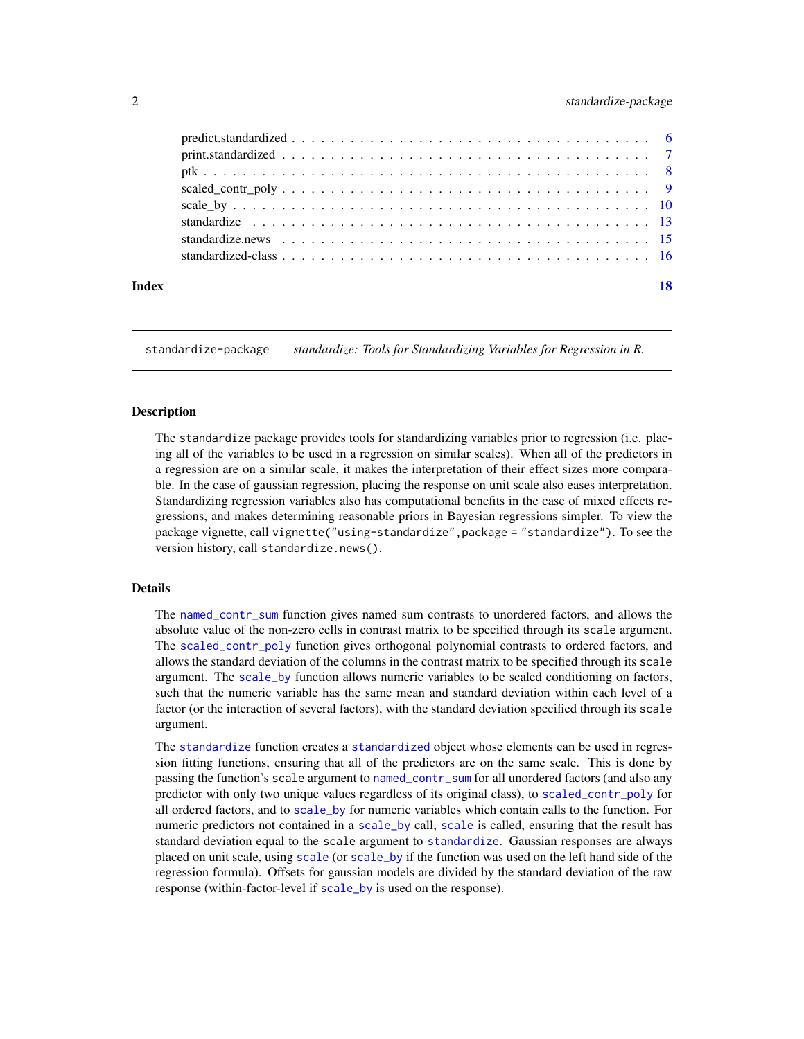#### <span id="page-1-0"></span>2 standardize-package

| Index | 18 |
|-------|----|

standardize-package *standardize: Tools for Standardizing Variables for Regression in R.*

#### Description

The standardize package provides tools for standardizing variables prior to regression (i.e. placing all of the variables to be used in a regression on similar scales). When all of the predictors in a regression are on a similar scale, it makes the interpretation of their effect sizes more comparable. In the case of gaussian regression, placing the response on unit scale also eases interpretation. Standardizing regression variables also has computational benefits in the case of mixed effects regressions, and makes determining reasonable priors in Bayesian regressions simpler. To view the package vignette, call vignette("using-standardize",package = "standardize"). To see the version history, call standardize.news().

#### Details

The [named\\_contr\\_sum](#page-3-1) function gives named sum contrasts to unordered factors, and allows the absolute value of the non-zero cells in contrast matrix to be specified through its scale argument. The [scaled\\_contr\\_poly](#page-8-1) function gives orthogonal polynomial contrasts to ordered factors, and allows the standard deviation of the columns in the contrast matrix to be specified through its scale argument. The [scale\\_by](#page-9-1) function allows numeric variables to be scaled conditioning on factors, such that the numeric variable has the same mean and standard deviation within each level of a factor (or the interaction of several factors), with the standard deviation specified through its scale argument.

The [standardize](#page-12-1) function creates a [standardized](#page-15-1) object whose elements can be used in regression fitting functions, ensuring that all of the predictors are on the same scale. This is done by passing the function's scale argument to [named\\_contr\\_sum](#page-3-1) for all unordered factors (and also any predictor with only two unique values regardless of its original class), to [scaled\\_contr\\_poly](#page-8-1) for all ordered factors, and to [scale\\_by](#page-9-1) for numeric variables which contain calls to the function. For numeric predictors not contained in a [scale\\_by](#page-9-1) call, [scale](#page-0-0) is called, ensuring that the result has standard deviation equal to the scale argument to [standardize](#page-12-1). Gaussian responses are always placed on unit scale, using [scale](#page-0-0) (or [scale\\_by](#page-9-1) if the function was used on the left hand side of the regression formula). Offsets for gaussian models are divided by the standard deviation of the raw response (within-factor-level if [scale\\_by](#page-9-1) is used on the response).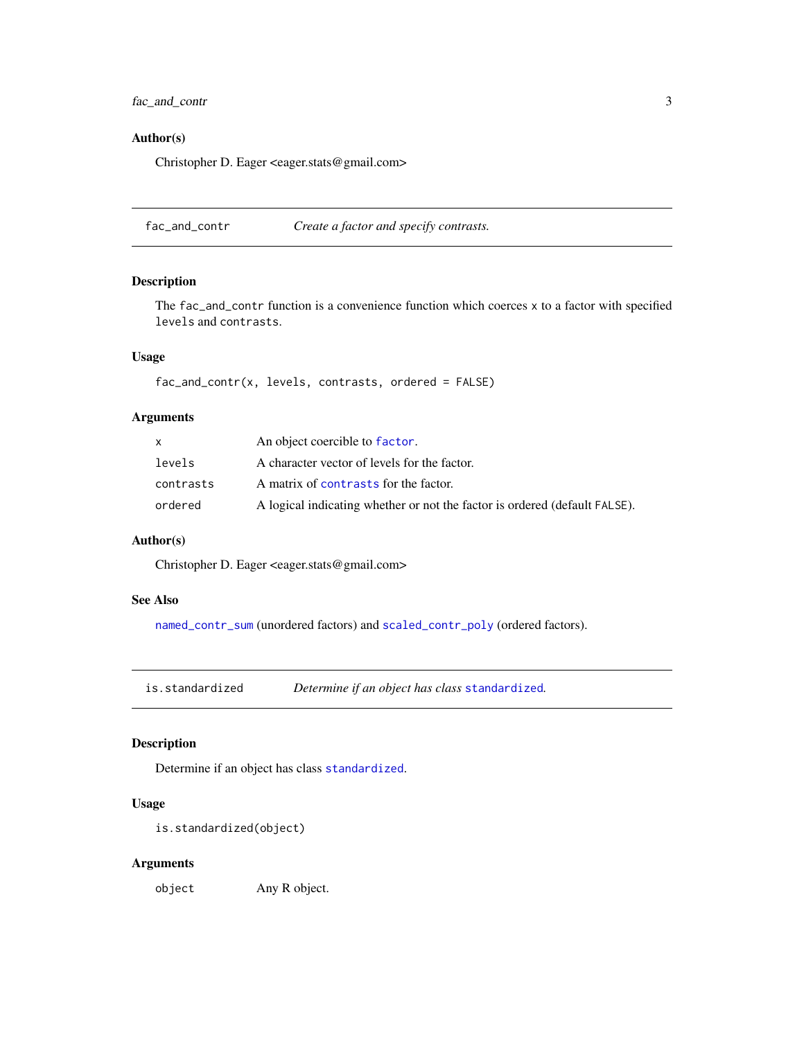<span id="page-2-0"></span>fac\_and\_contr 3

#### Author(s)

Christopher D. Eager <eager.stats@gmail.com>

fac\_and\_contr *Create a factor and specify contrasts.*

#### Description

The fac\_and\_contr function is a convenience function which coerces x to a factor with specified levels and contrasts.

#### Usage

fac\_and\_contr(x, levels, contrasts, ordered = FALSE)

#### Arguments

| X         | An object coercible to factor.                                             |
|-----------|----------------------------------------------------------------------------|
| levels    | A character vector of levels for the factor.                               |
| contrasts | A matrix of contrasts for the factor.                                      |
| ordered   | A logical indicating whether or not the factor is ordered (default FALSE). |

#### Author(s)

Christopher D. Eager <eager.stats@gmail.com>

#### See Also

[named\\_contr\\_sum](#page-3-1) (unordered factors) and [scaled\\_contr\\_poly](#page-8-1) (ordered factors).

<span id="page-2-1"></span>is.standardized *Determine if an object has class* [standardized](#page-15-1)*.*

#### Description

Determine if an object has class [standardized](#page-15-1).

#### Usage

```
is.standardized(object)
```
#### Arguments

object Any R object.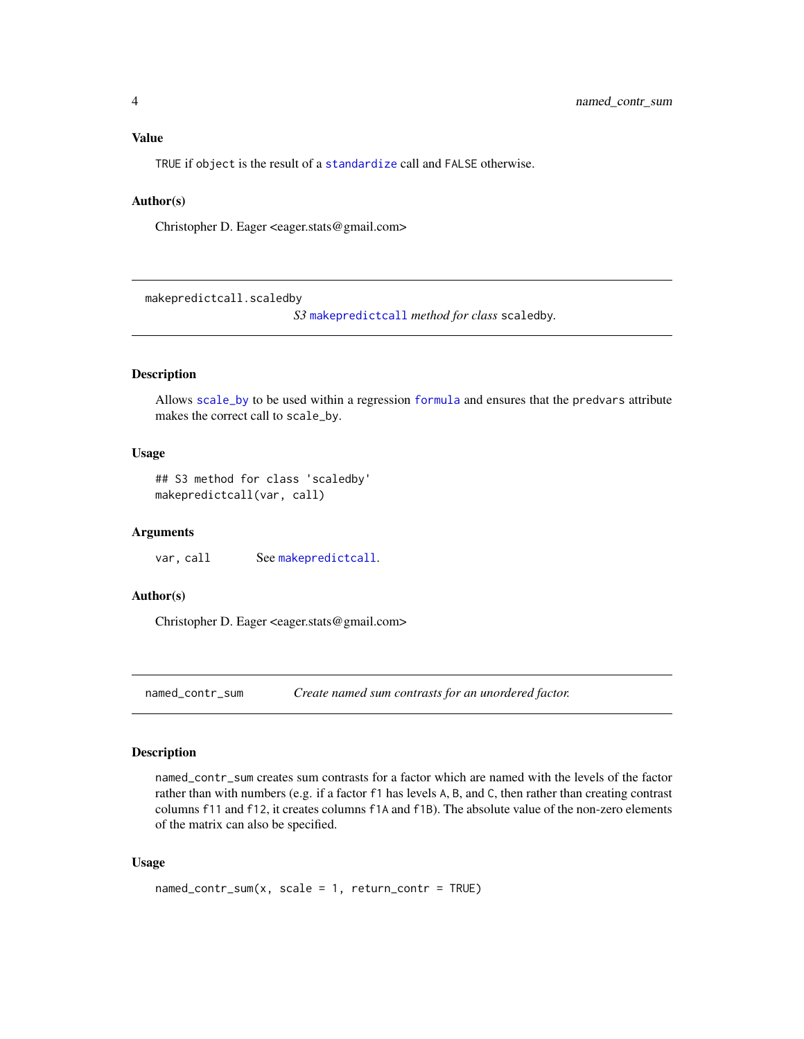#### <span id="page-3-0"></span>Value

TRUE if object is the result of a [standardize](#page-12-1) call and FALSE otherwise.

#### Author(s)

Christopher D. Eager <eager.stats@gmail.com>

makepredictcall.scaledby

*S3* [makepredictcall](#page-0-0) *method for class* scaledby*.*

#### Description

Allows [scale\\_by](#page-9-1) to be used within a regression [formula](#page-0-0) and ensures that the predvars attribute makes the correct call to scale\_by.

#### Usage

## S3 method for class 'scaledby' makepredictcall(var, call)

#### Arguments

var, call See [makepredictcall](#page-0-0).

#### Author(s)

Christopher D. Eager <eager.stats@gmail.com>

<span id="page-3-1"></span>named\_contr\_sum *Create named sum contrasts for an unordered factor.*

#### Description

named\_contr\_sum creates sum contrasts for a factor which are named with the levels of the factor rather than with numbers (e.g. if a factor f1 has levels A, B, and C, then rather than creating contrast columns f11 and f12, it creates columns f1A and f1B). The absolute value of the non-zero elements of the matrix can also be specified.

#### Usage

```
named_count_sum(x, scale = 1, return_count = TRUE)
```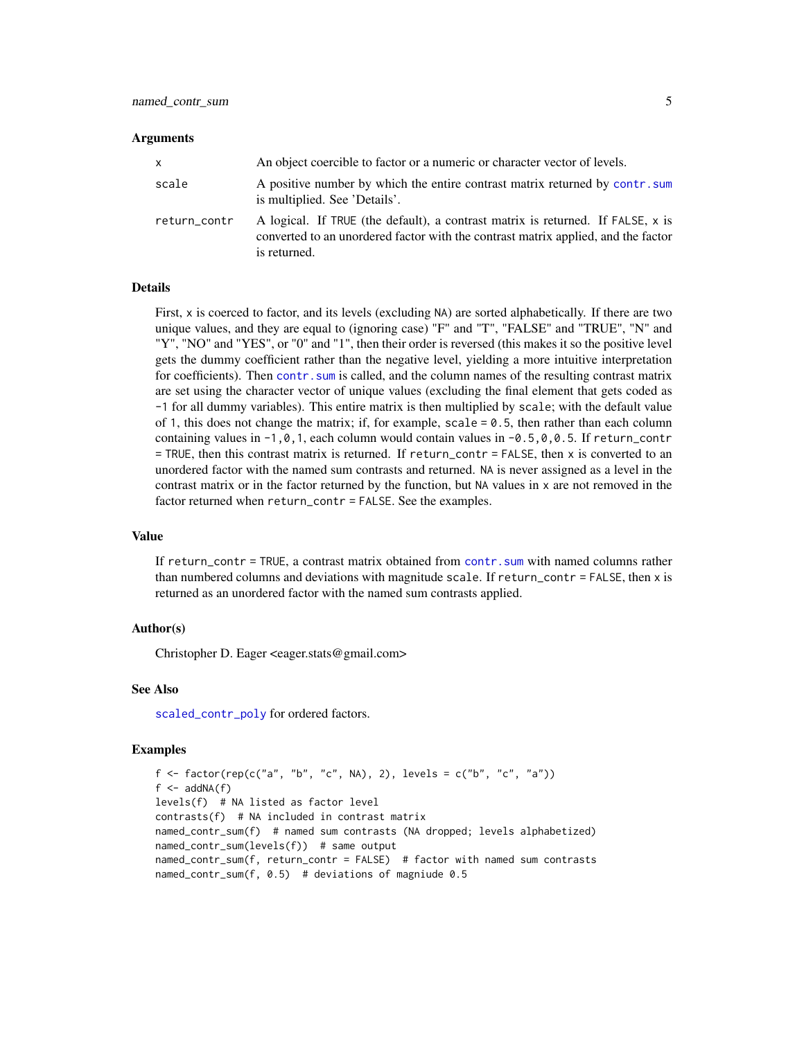#### <span id="page-4-0"></span>Arguments

| x            | An object coercible to factor or a numeric or character vector of levels.                                                                                                            |
|--------------|--------------------------------------------------------------------------------------------------------------------------------------------------------------------------------------|
| scale        | A positive number by which the entire contrast matrix returned by contr. sum<br>is multiplied. See 'Details'.                                                                        |
| return_contr | A logical. If TRUE (the default), a contrast matrix is returned. If FALSE, x is<br>converted to an unordered factor with the contrast matrix applied, and the factor<br>is returned. |

#### Details

First, x is coerced to factor, and its levels (excluding NA) are sorted alphabetically. If there are two unique values, and they are equal to (ignoring case) "F" and "T", "FALSE" and "TRUE", "N" and "Y", "NO" and "YES", or "0" and "1", then their order is reversed (this makes it so the positive level gets the dummy coefficient rather than the negative level, yielding a more intuitive interpretation for coefficients). Then contr. sum is called, and the column names of the resulting contrast matrix are set using the character vector of unique values (excluding the final element that gets coded as -1 for all dummy variables). This entire matrix is then multiplied by scale; with the default value of 1, this does not change the matrix; if, for example,  $scale = 0.5$ , then rather than each column containing values in  $-1, 0, 1$ , each column would contain values in  $-0.5, 0, 0.5$ . If return\_contr = TRUE, then this contrast matrix is returned. If return\_contr = FALSE, then x is converted to an unordered factor with the named sum contrasts and returned. NA is never assigned as a level in the contrast matrix or in the factor returned by the function, but NA values in x are not removed in the factor returned when return\_contr = FALSE. See the examples.

#### Value

If return\_contr = TRUE, a contrast matrix obtained from [contr.sum](#page-0-0) with named columns rather than numbered columns and deviations with magnitude scale. If return\_contr = FALSE, then x is returned as an unordered factor with the named sum contrasts applied.

#### Author(s)

Christopher D. Eager <eager.stats@gmail.com>

#### See Also

[scaled\\_contr\\_poly](#page-8-1) for ordered factors.

#### Examples

```
f <- factor(rep(c("a", "b", "c", NA), 2), levels = c("b", "c", "a"))
f \leftarrow addNA(f)levels(f) # NA listed as factor level
contrasts(f) # NA included in contrast matrix
named_contr_sum(f) # named sum contrasts (NA dropped; levels alphabetized)
named_contr_sum(levels(f)) # same output
named_contr_sum(f, return_contr = FALSE) # factor with named sum contrasts
named_contr_sum(f, 0.5) # deviations of magniude 0.5
```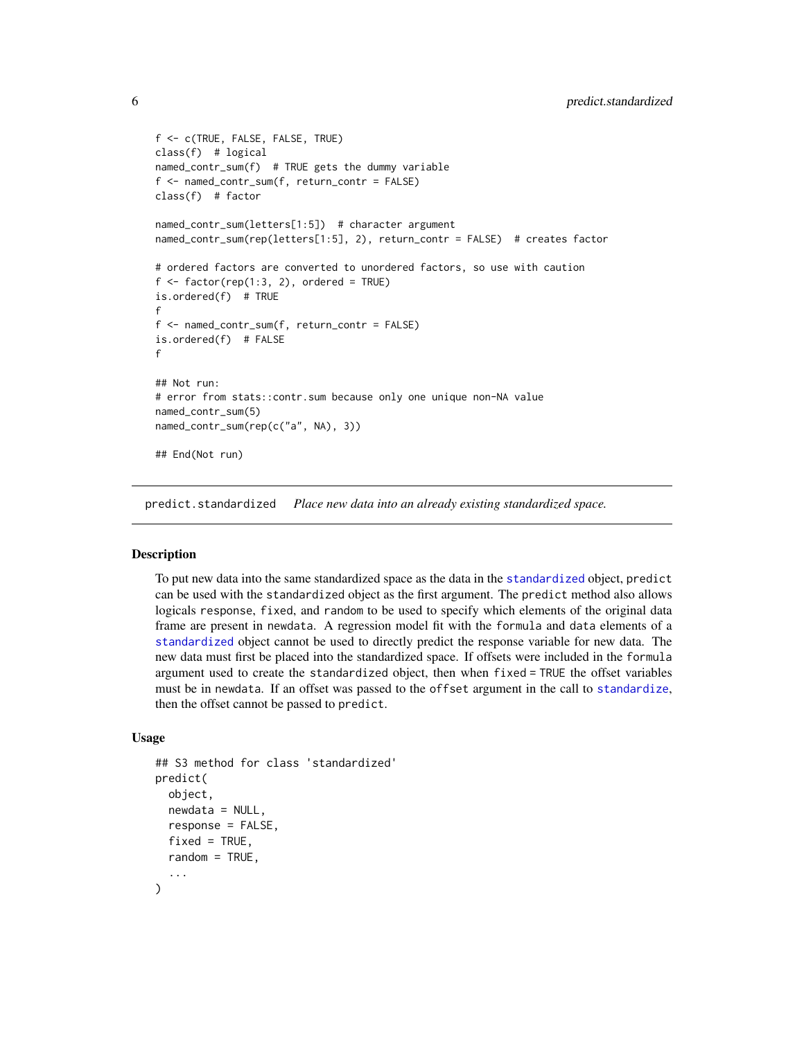```
f <- c(TRUE, FALSE, FALSE, TRUE)
class(f) # logical
named_contr_sum(f) # TRUE gets the dummy variable
f <- named_contr_sum(f, return_contr = FALSE)
class(f) # factor
named_contr_sum(letters[1:5]) # character argument
named_contr_sum(rep(letters[1:5], 2), return_contr = FALSE) # creates factor
# ordered factors are converted to unordered factors, so use with caution
f \leftarrow factor(rep(1:3, 2), ordered = TRUE)is.ordered(f) # TRUE
f
f <- named_contr_sum(f, return_contr = FALSE)
is.ordered(f) # FALSE
f
## Not run:
# error from stats::contr.sum because only one unique non-NA value
named_contr_sum(5)
named_contr_sum(rep(c("a", NA), 3))
## End(Not run)
```
<span id="page-5-1"></span>predict.standardized *Place new data into an already existing standardized space.*

#### Description

To put new data into the same standardized space as the data in the [standardized](#page-15-1) object, predict can be used with the standardized object as the first argument. The predict method also allows logicals response, fixed, and random to be used to specify which elements of the original data frame are present in newdata. A regression model fit with the formula and data elements of a [standardized](#page-15-1) object cannot be used to directly predict the response variable for new data. The new data must first be placed into the standardized space. If offsets were included in the formula argument used to create the standardized object, then when fixed = TRUE the offset variables must be in newdata. If an offset was passed to the offset argument in the call to [standardize](#page-12-1), then the offset cannot be passed to predict.

#### Usage

```
## S3 method for class 'standardized'
predict(
  object,
  newdata = NULL,response = FALSE,
  fixed = TRUE,
  random = TRUE,
  ...
)
```
<span id="page-5-0"></span>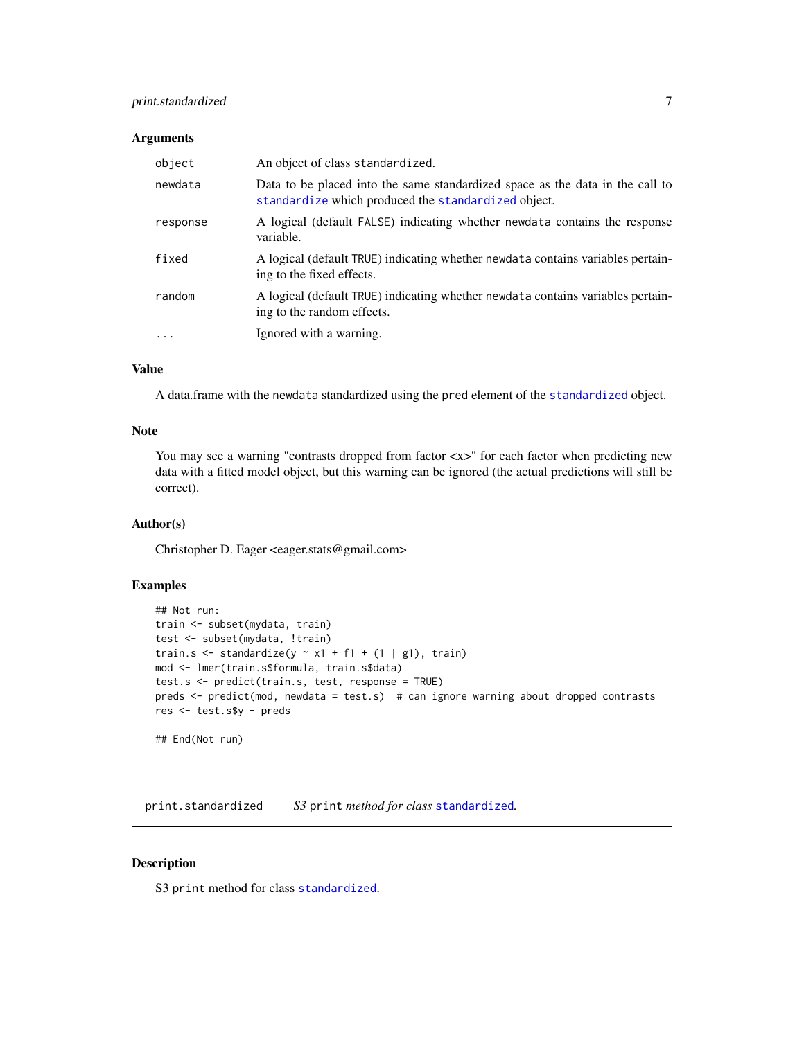#### <span id="page-6-0"></span>print.standardized 7

#### Arguments

| object   | An object of class standardized.                                                                                                     |
|----------|--------------------------------------------------------------------------------------------------------------------------------------|
| newdata  | Data to be placed into the same standardized space as the data in the call to<br>standardize which produced the standardized object. |
| response | A logical (default FALSE) indicating whether newdata contains the response<br>variable.                                              |
| fixed    | A logical (default TRUE) indicating whether newdata contains variables pertain-<br>ing to the fixed effects.                         |
| random   | A logical (default TRUE) indicating whether newdata contains variables pertain-<br>ing to the random effects.                        |
|          | Ignored with a warning.                                                                                                              |

#### Value

A data.frame with the newdata standardized using the pred element of the [standardized](#page-15-1) object.

#### Note

You may see a warning "contrasts dropped from factor  $\langle x \rangle$ " for each factor when predicting new data with a fitted model object, but this warning can be ignored (the actual predictions will still be correct).

#### Author(s)

Christopher D. Eager <eager.stats@gmail.com>

#### Examples

```
## Not run:
train <- subset(mydata, train)
test <- subset(mydata, !train)
train.s <- standardize(y \sim x1 + f1 + (1 \mid g1), train)
mod <- lmer(train.s$formula, train.s$data)
test.s <- predict(train.s, test, response = TRUE)
preds <- predict(mod, newdata = test.s) # can ignore warning about dropped contrasts
res <- test.s$y - preds
```
## End(Not run)

print.standardized *S3* print *method for class* [standardized](#page-15-1)*.*

#### Description

S3 print method for class [standardized](#page-15-1).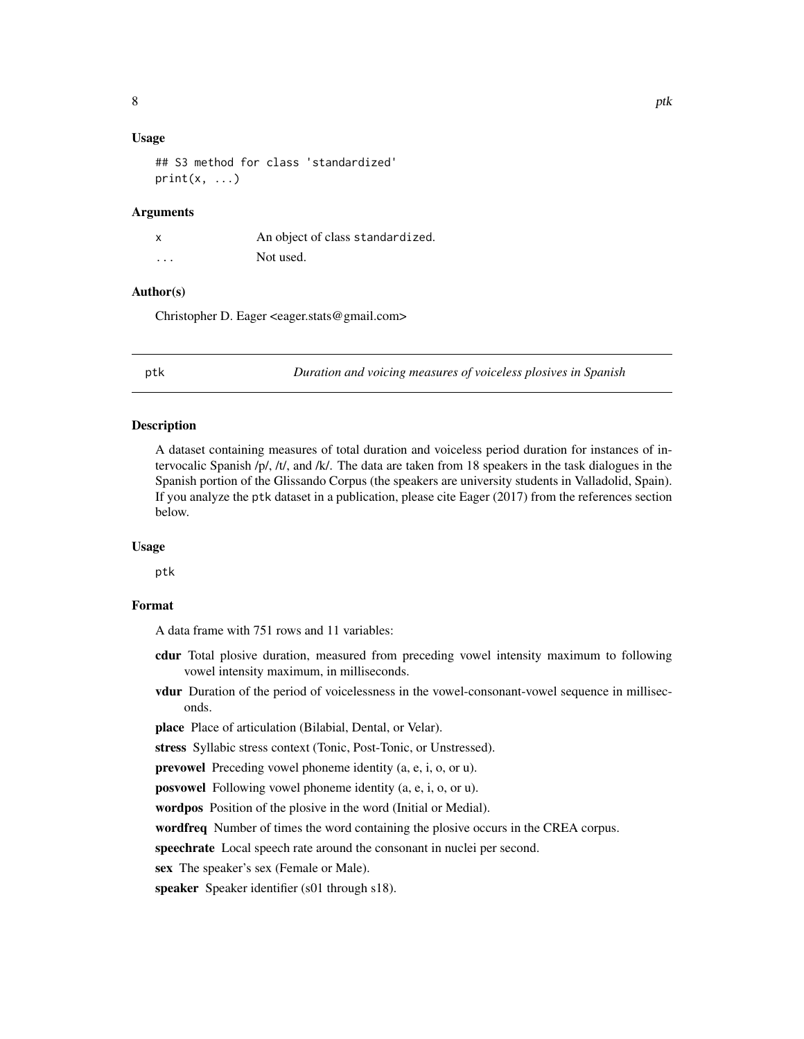#### <span id="page-7-0"></span>Usage

## S3 method for class 'standardized'  $print(x, \ldots)$ 

#### **Arguments**

|                         | An object of class standardized. |
|-------------------------|----------------------------------|
| $\cdot$ $\cdot$ $\cdot$ | Not used.                        |

#### Author(s)

Christopher D. Eager <eager.stats@gmail.com>

ptk *Duration and voicing measures of voiceless plosives in Spanish*

#### Description

A dataset containing measures of total duration and voiceless period duration for instances of intervocalic Spanish /p/, /t/, and /k/. The data are taken from 18 speakers in the task dialogues in the Spanish portion of the Glissando Corpus (the speakers are university students in Valladolid, Spain). If you analyze the ptk dataset in a publication, please cite Eager (2017) from the references section below.

#### Usage

ptk

#### Format

A data frame with 751 rows and 11 variables:

- cdur Total plosive duration, measured from preceding vowel intensity maximum to following vowel intensity maximum, in milliseconds.
- vdur Duration of the period of voicelessness in the vowel-consonant-vowel sequence in milliseconds.

place Place of articulation (Bilabial, Dental, or Velar).

stress Syllabic stress context (Tonic, Post-Tonic, or Unstressed).

prevowel Preceding vowel phoneme identity (a, e, i, o, or u).

posvowel Following vowel phoneme identity (a, e, i, o, or u).

wordpos Position of the plosive in the word (Initial or Medial).

wordfreq Number of times the word containing the plosive occurs in the CREA corpus.

speechrate Local speech rate around the consonant in nuclei per second.

sex The speaker's sex (Female or Male).

speaker Speaker identifier (s01 through s18).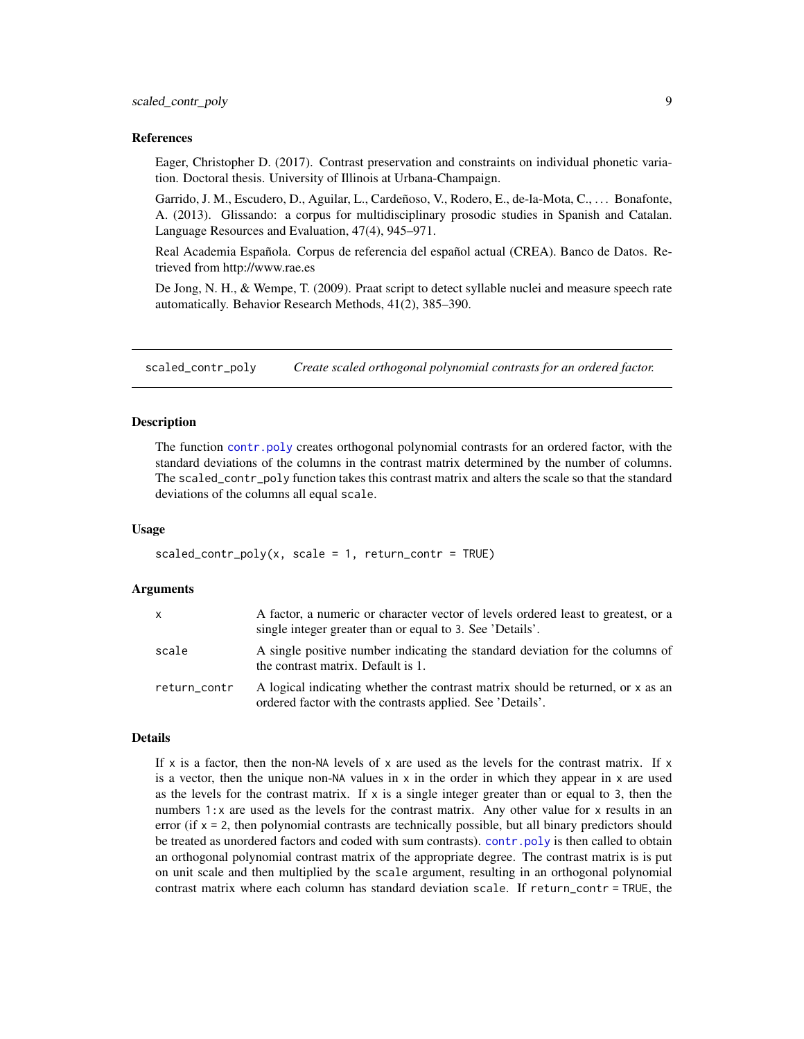#### <span id="page-8-0"></span>References

Eager, Christopher D. (2017). Contrast preservation and constraints on individual phonetic variation. Doctoral thesis. University of Illinois at Urbana-Champaign.

Garrido, J. M., Escudero, D., Aguilar, L., Cardeñoso, V., Rodero, E., de-la-Mota, C., . . . Bonafonte, A. (2013). Glissando: a corpus for multidisciplinary prosodic studies in Spanish and Catalan. Language Resources and Evaluation, 47(4), 945–971.

Real Academia Española. Corpus de referencia del español actual (CREA). Banco de Datos. Retrieved from http://www.rae.es

De Jong, N. H., & Wempe, T. (2009). Praat script to detect syllable nuclei and measure speech rate automatically. Behavior Research Methods, 41(2), 385–390.

<span id="page-8-1"></span>scaled\_contr\_poly *Create scaled orthogonal polynomial contrasts for an ordered factor.*

#### Description

The function [contr.poly](#page-0-0) creates orthogonal polynomial contrasts for an ordered factor, with the standard deviations of the columns in the contrast matrix determined by the number of columns. The scaled\_contr\_poly function takes this contrast matrix and alters the scale so that the standard deviations of the columns all equal scale.

#### Usage

```
scaled\_contr\_poly(x, scale = 1, return\_contr = TRUE)
```
#### Arguments

| X            | A factor, a numeric or character vector of levels ordered least to greatest, or a<br>single integer greater than or equal to 3. See 'Details'. |
|--------------|------------------------------------------------------------------------------------------------------------------------------------------------|
| scale        | A single positive number indicating the standard deviation for the columns of<br>the contrast matrix. Default is 1.                            |
| return_contr | A logical indicating whether the contrast matrix should be returned, or x as an<br>ordered factor with the contrasts applied. See 'Details'.   |

#### Details

If x is a factor, then the non-NA levels of x are used as the levels for the contrast matrix. If x is a vector, then the unique non-NA values in  $x$  in the order in which they appear in  $x$  are used as the levels for the contrast matrix. If  $x$  is a single integer greater than or equal to 3, then the numbers 1:x are used as the levels for the contrast matrix. Any other value for x results in an error (if  $x = 2$ , then polynomial contrasts are technically possible, but all binary predictors should be treated as unordered factors and coded with sum contrasts). [contr.poly](#page-0-0) is then called to obtain an orthogonal polynomial contrast matrix of the appropriate degree. The contrast matrix is is put on unit scale and then multiplied by the scale argument, resulting in an orthogonal polynomial contrast matrix where each column has standard deviation scale. If return\_contr = TRUE, the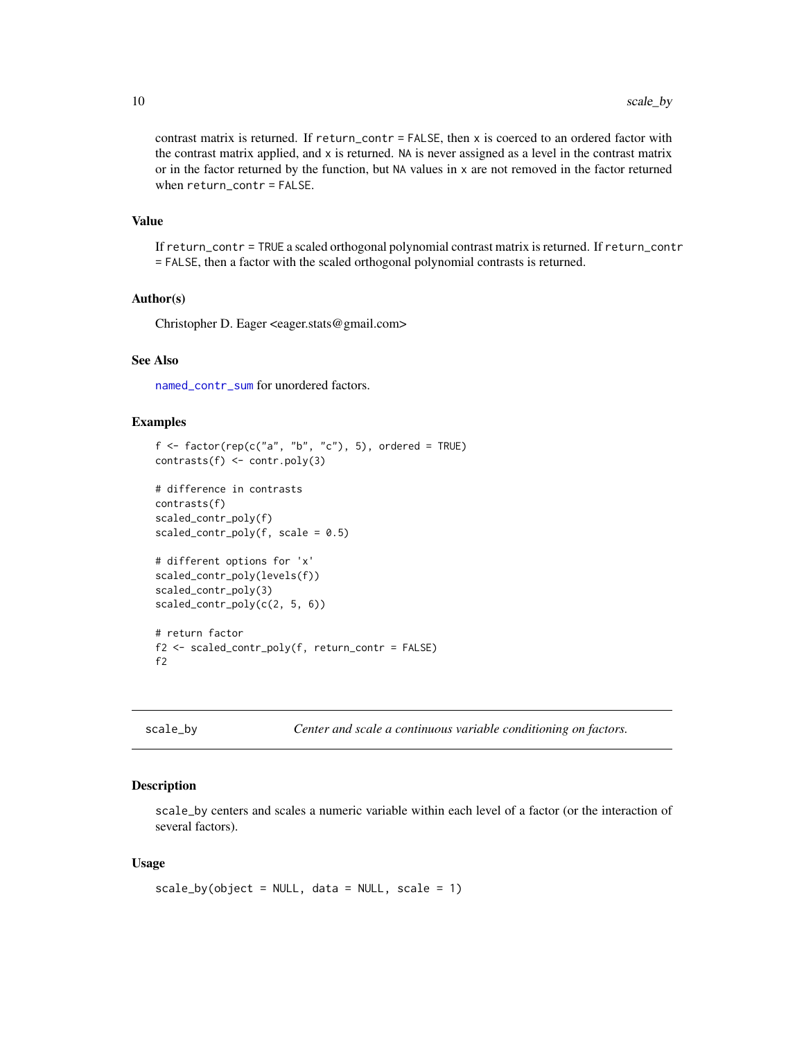<span id="page-9-0"></span>contrast matrix is returned. If return\_contr = FALSE, then x is coerced to an ordered factor with the contrast matrix applied, and  $x$  is returned. NA is never assigned as a level in the contrast matrix or in the factor returned by the function, but NA values in x are not removed in the factor returned when return\_contr = FALSE.

#### Value

If return\_contr = TRUE a scaled orthogonal polynomial contrast matrix is returned. If return\_contr = FALSE, then a factor with the scaled orthogonal polynomial contrasts is returned.

#### Author(s)

Christopher D. Eager <eager.stats@gmail.com>

#### See Also

[named\\_contr\\_sum](#page-3-1) for unordered factors.

#### Examples

```
f \leftarrow factor(rep(c("a", "b", "c"), 5), ordered = TRUE)contrasts(f) <- contr.poly(3)
# difference in contrasts
contrasts(f)
scaled_contr_poly(f)
scaled\_contr\_poly(f, scale = 0.5)# different options for 'x'
scaled_contr_poly(levels(f))
scaled_contr_poly(3)
scaled_contr_poly(c(2, 5, 6))
# return factor
f2 <- scaled_contr_poly(f, return_contr = FALSE)
f2
```
<span id="page-9-1"></span>scale\_by *Center and scale a continuous variable conditioning on factors.*

#### Description

scale\_by centers and scales a numeric variable within each level of a factor (or the interaction of several factors).

#### Usage

```
scale_by(object = NULL, data = NULL, scale = 1)
```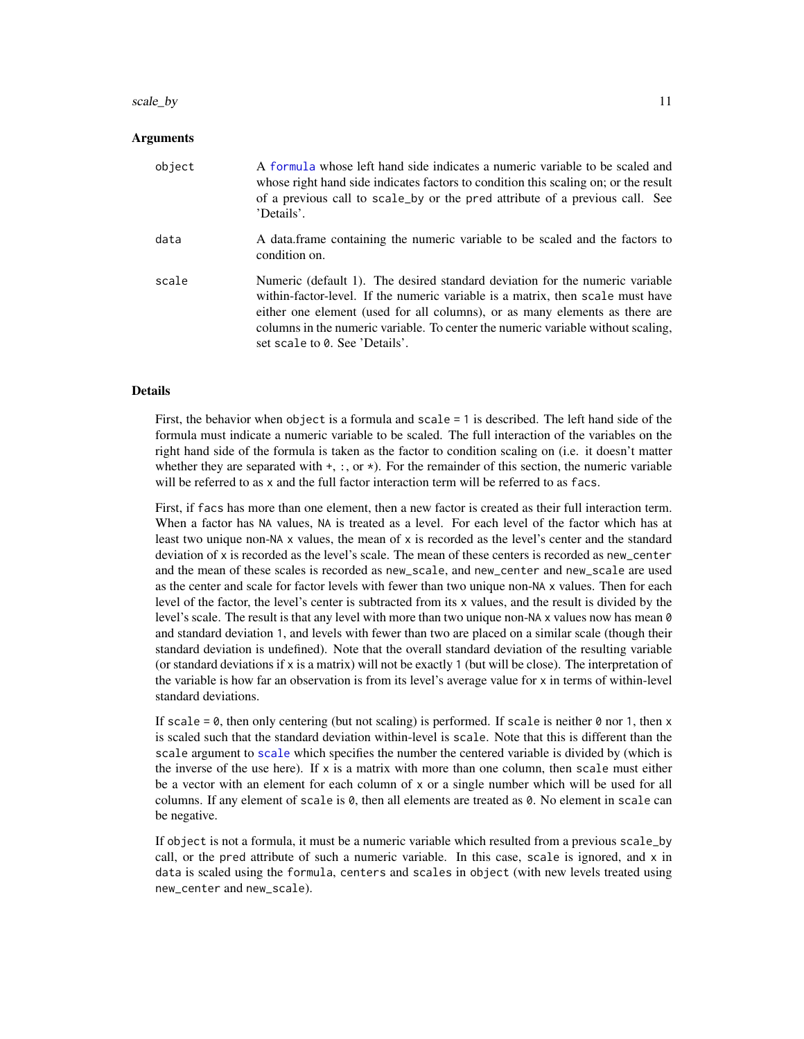#### <span id="page-10-0"></span>scale\_by 11

#### **Arguments**

| object | A formula whose left hand side indicates a numeric variable to be scaled and<br>whose right hand side indicates factors to condition this scaling on; or the result<br>of a previous call to scale_by or the pred attribute of a previous call. See<br>'Details'.                                                                                                   |
|--------|---------------------------------------------------------------------------------------------------------------------------------------------------------------------------------------------------------------------------------------------------------------------------------------------------------------------------------------------------------------------|
| data   | A data frame containing the numeric variable to be scaled and the factors to<br>condition on.                                                                                                                                                                                                                                                                       |
| scale  | Numeric (default 1). The desired standard deviation for the numeric variable<br>within-factor-level. If the numeric variable is a matrix, then scale must have<br>either one element (used for all columns), or as many elements as there are<br>columns in the numeric variable. To center the numeric variable without scaling,<br>set scale to 0. See 'Details'. |

#### Details

First, the behavior when object is a formula and scale = 1 is described. The left hand side of the formula must indicate a numeric variable to be scaled. The full interaction of the variables on the right hand side of the formula is taken as the factor to condition scaling on (i.e. it doesn't matter whether they are separated with  $+$ ,  $\cdot$ , or  $\star$ ). For the remainder of this section, the numeric variable will be referred to as x and the full factor interaction term will be referred to as facs.

First, if facs has more than one element, then a new factor is created as their full interaction term. When a factor has NA values, NA is treated as a level. For each level of the factor which has at least two unique non-NA x values, the mean of x is recorded as the level's center and the standard deviation of x is recorded as the level's scale. The mean of these centers is recorded as new\_center and the mean of these scales is recorded as new\_scale, and new\_center and new\_scale are used as the center and scale for factor levels with fewer than two unique non-NA x values. Then for each level of the factor, the level's center is subtracted from its x values, and the result is divided by the level's scale. The result is that any level with more than two unique non-NA x values now has mean 0 and standard deviation 1, and levels with fewer than two are placed on a similar scale (though their standard deviation is undefined). Note that the overall standard deviation of the resulting variable (or standard deviations if  $x$  is a matrix) will not be exactly 1 (but will be close). The interpretation of the variable is how far an observation is from its level's average value for x in terms of within-level standard deviations.

If scale =  $\theta$ , then only centering (but not scaling) is performed. If scale is neither  $\theta$  nor 1, then x is scaled such that the standard deviation within-level is scale. Note that this is different than the scale argument to [scale](#page-0-0) which specifies the number the centered variable is divided by (which is the inverse of the use here). If x is a matrix with more than one column, then scale must either be a vector with an element for each column of x or a single number which will be used for all columns. If any element of scale is 0, then all elements are treated as 0. No element in scale can be negative.

If object is not a formula, it must be a numeric variable which resulted from a previous scale\_by call, or the pred attribute of such a numeric variable. In this case, scale is ignored, and  $x$  in data is scaled using the formula, centers and scales in object (with new levels treated using new\_center and new\_scale).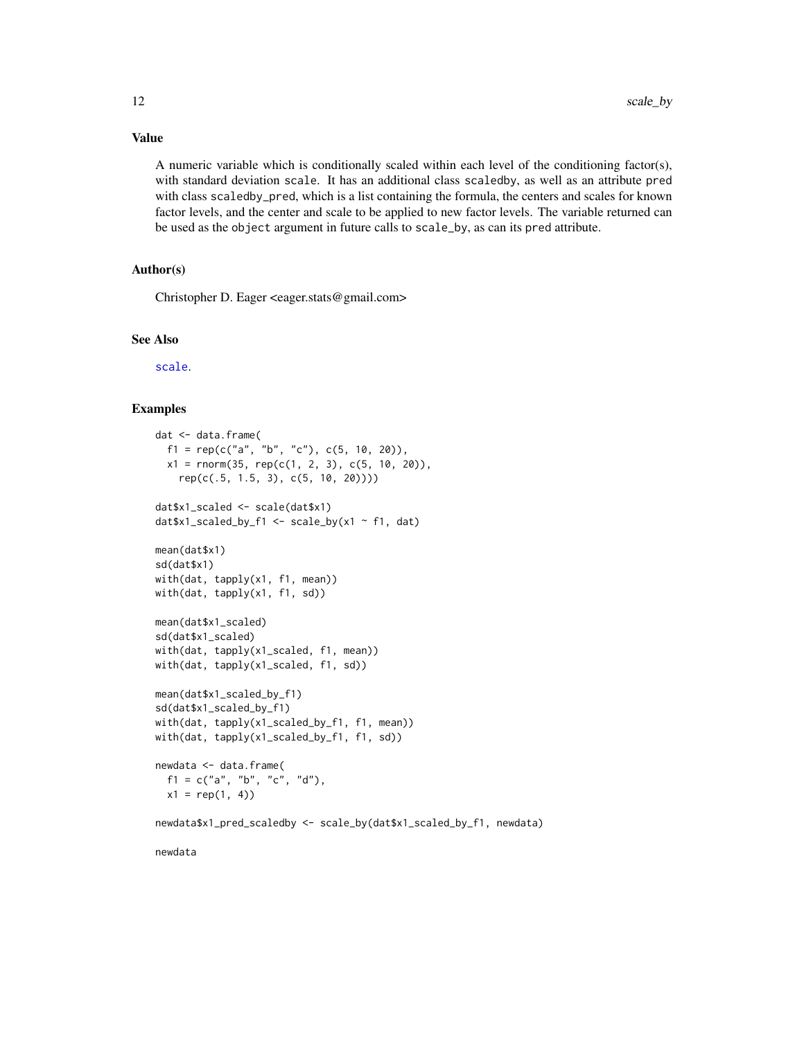A numeric variable which is conditionally scaled within each level of the conditioning factor(s), with standard deviation scale. It has an additional class scaledby, as well as an attribute pred with class scaledby\_pred, which is a list containing the formula, the centers and scales for known factor levels, and the center and scale to be applied to new factor levels. The variable returned can be used as the object argument in future calls to scale\_by, as can its pred attribute.

#### Author(s)

Christopher D. Eager <eager.stats@gmail.com>

#### See Also

[scale](#page-0-0).

#### Examples

```
dat <- data.frame(
 f1 = rep(c("a", "b", "c"), c(5, 10, 20)),x1 = \text{norm}(35, \text{rep}(c(1, 2, 3), c(5, 10, 20)),rep(c(.5, 1.5, 3), c(5, 10, 20))))
dat$x1_scaled <- scale(dat$x1)
dat$x1_scaled_by_f1 <- scale_by(x1 ~ f1, dat)
mean(dat$x1)
sd(dat$x1)
with(dat, tapply(x1, f1, mean))
with(dat, tapply(x1, f1, sd))
mean(dat$x1_scaled)
sd(dat$x1_scaled)
with(dat, tapply(x1_scaled, f1, mean))
with(dat, tapply(x1_scaled, f1, sd))
mean(dat$x1_scaled_by_f1)
sd(dat$x1_scaled_by_f1)
with(dat, tapply(x1_scaled_by_f1, f1, mean))
with(dat, tapply(x1_scaled_by_f1, f1, sd))
newdata <- data.frame(
 f1 = c("a", "b", "c", "d"),
 x1 = rep(1, 4)newdata$x1_pred_scaledby <- scale_by(dat$x1_scaled_by_f1, newdata)
newdata
```
### Value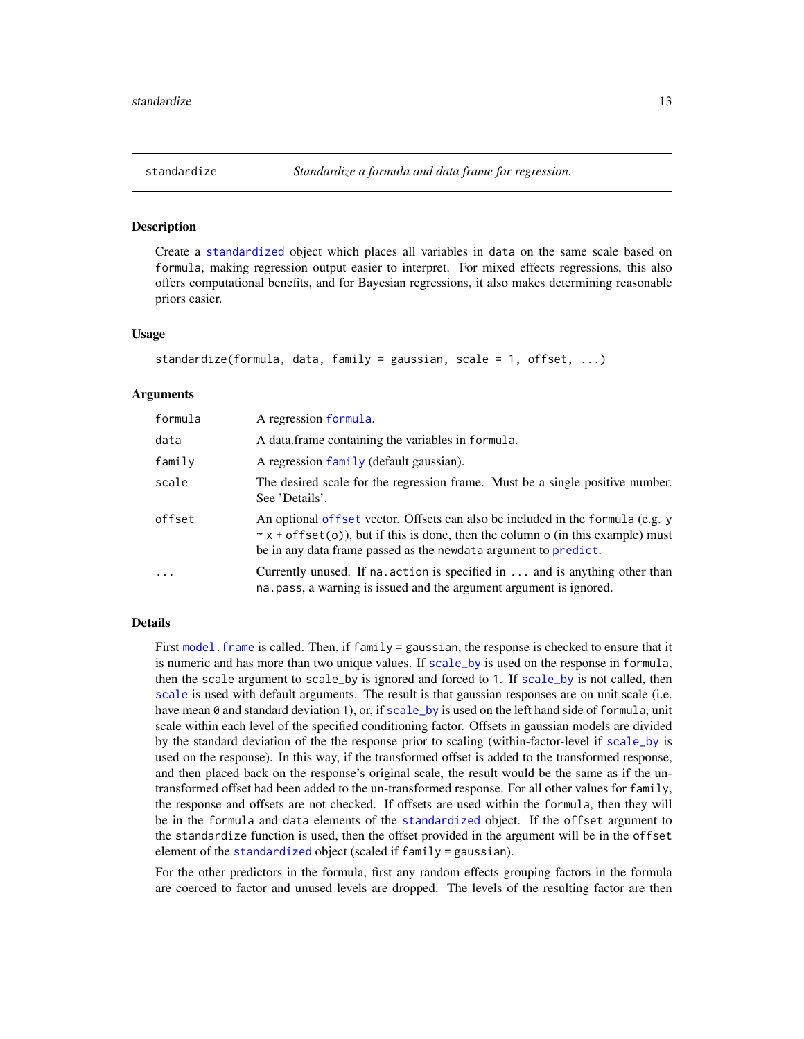<span id="page-12-1"></span><span id="page-12-0"></span>

#### Description

Create a [standardized](#page-15-1) object which places all variables in data on the same scale based on formula, making regression output easier to interpret. For mixed effects regressions, this also offers computational benefits, and for Bayesian regressions, it also makes determining reasonable priors easier.

#### Usage

```
standardize(formula, data, family = gaussian, scale = 1, offset, ...)
```
#### Arguments

| formula | A regression formula.                                                                                                                                                                                                                      |
|---------|--------------------------------------------------------------------------------------------------------------------------------------------------------------------------------------------------------------------------------------------|
| data    | A data frame containing the variables in formula.                                                                                                                                                                                          |
| family  | A regression family (default gaussian).                                                                                                                                                                                                    |
| scale   | The desired scale for the regression frame. Must be a single positive number.<br>See 'Details'.                                                                                                                                            |
| offset  | An optional offset vector. Offsets can also be included in the formula (e.g. y<br>$\sim$ x + of fset(o)), but if this is done, then the column o (in this example) must<br>be in any data frame passed as the newdata argument to predict. |
| .       | Currently unused. If na. action is specified in and is anything other than<br>na. pass, a warning is issued and the argument argument is ignored.                                                                                          |

#### Details

First model. frame is called. Then, if family = gaussian, the response is checked to ensure that it is numeric and has more than two unique values. If [scale\\_by](#page-9-1) is used on the response in formula, then the scale argument to scale\_by is ignored and forced to 1. If [scale\\_by](#page-9-1) is not called, then [scale](#page-0-0) is used with default arguments. The result is that gaussian responses are on unit scale (i.e. have mean 0 and standard deviation 1), or, if scale by is used on the left hand side of formula, unit scale within each level of the specified conditioning factor. Offsets in gaussian models are divided by the standard deviation of the the response prior to scaling (within-factor-level if [scale\\_by](#page-9-1) is used on the response). In this way, if the transformed offset is added to the transformed response, and then placed back on the response's original scale, the result would be the same as if the untransformed offset had been added to the un-transformed response. For all other values for family, the response and offsets are not checked. If offsets are used within the formula, then they will be in the formula and data elements of the [standardized](#page-15-1) object. If the offset argument to the standardize function is used, then the offset provided in the argument will be in the offset element of the [standardized](#page-15-1) object (scaled if family = gaussian).

For the other predictors in the formula, first any random effects grouping factors in the formula are coerced to factor and unused levels are dropped. The levels of the resulting factor are then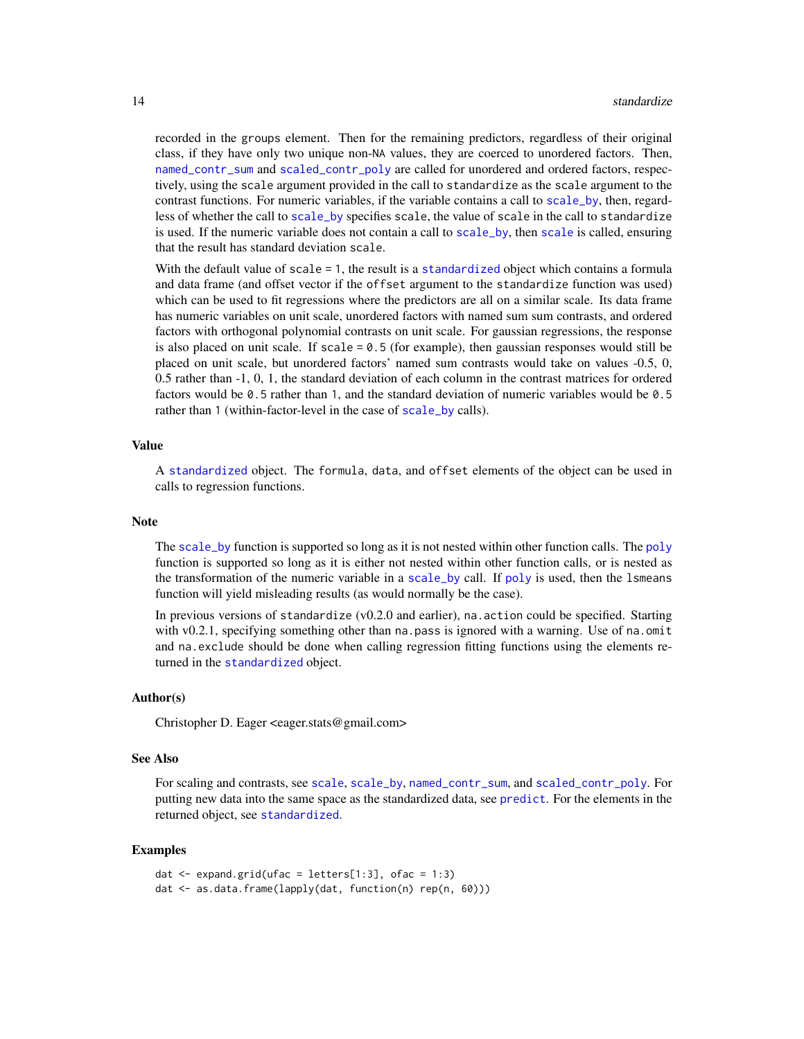<span id="page-13-0"></span>recorded in the groups element. Then for the remaining predictors, regardless of their original class, if they have only two unique non-NA values, they are coerced to unordered factors. Then, [named\\_contr\\_sum](#page-3-1) and [scaled\\_contr\\_poly](#page-8-1) are called for unordered and ordered factors, respectively, using the scale argument provided in the call to standardize as the scale argument to the contrast functions. For numeric variables, if the variable contains a call to [scale\\_by](#page-9-1), then, regardless of whether the call to [scale\\_by](#page-9-1) specifies scale, the value of scale in the call to standardize is used. If the numeric variable does not contain a call to [scale\\_by](#page-9-1), then [scale](#page-0-0) is called, ensuring that the result has standard deviation scale.

With the default value of scale = 1, the result is a [standardized](#page-15-1) object which contains a formula and data frame (and offset vector if the offset argument to the standardize function was used) which can be used to fit regressions where the predictors are all on a similar scale. Its data frame has numeric variables on unit scale, unordered factors with named sum sum contrasts, and ordered factors with orthogonal polynomial contrasts on unit scale. For gaussian regressions, the response is also placed on unit scale. If  $scale = 0.5$  (for example), then gaussian responses would still be placed on unit scale, but unordered factors' named sum contrasts would take on values -0.5, 0, 0.5 rather than -1, 0, 1, the standard deviation of each column in the contrast matrices for ordered factors would be 0.5 rather than 1, and the standard deviation of numeric variables would be 0.5 rather than 1 (within-factor-level in the case of [scale\\_by](#page-9-1) calls).

#### Value

A [standardized](#page-15-1) object. The formula, data, and offset elements of the object can be used in calls to regression functions.

#### Note

The [scale\\_by](#page-9-1) function is supported so long as it is not nested within other function calls. The [poly](#page-0-0) function is supported so long as it is either not nested within other function calls, or is nested as the transformation of the numeric variable in a scale by call. If [poly](#page-0-0) is used, then the 1 smeans function will yield misleading results (as would normally be the case).

In previous versions of standardize (v0.2.0 and earlier), na.action could be specified. Starting with v0.2.1, specifying something other than na.pass is ignored with a warning. Use of na.omit and na.exclude should be done when calling regression fitting functions using the elements returned in the [standardized](#page-15-1) object.

#### Author(s)

Christopher D. Eager <eager.stats@gmail.com>

#### See Also

For scaling and contrasts, see [scale](#page-0-0), [scale\\_by](#page-9-1), [named\\_contr\\_sum](#page-3-1), and [scaled\\_contr\\_poly](#page-8-1). For putting new data into the same space as the standardized data, see [predict](#page-5-1). For the elements in the returned object, see [standardized](#page-15-1).

#### Examples

```
dat \leq expand.grid(ufac = letters[1:3], ofac = 1:3)
dat <- as.data.frame(lapply(dat, function(n) rep(n, 60)))
```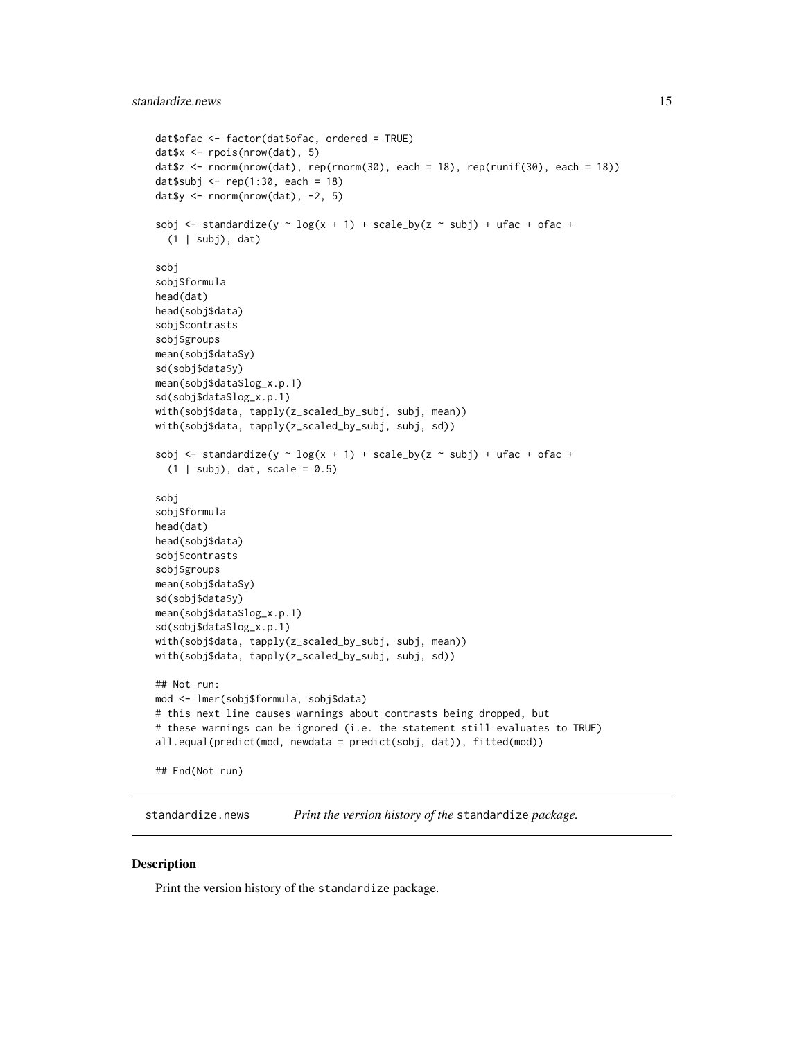```
dat$ofac <- factor(dat$ofac, ordered = TRUE)
dat$x <- rpois(nrow(dat), 5)
dat$z <- rnorm(nrow(dat), rep(rnorm(30), each = 18), rep(runif(30), each = 18))
dat$subj < - rep(1:30, each = 18)dat$y <- rnorm(nrow(data), -2, 5)
sobj <- standardize(y \sim log(x + 1) + scale_by(z \sim subj) + ufac + ofac +
  (1 | subj), dat)
sobj
sobj$formula
head(dat)
head(sobj$data)
sobj$contrasts
sobj$groups
mean(sobj$data$y)
sd(sobj$data$y)
mean(sobj$data$log_x.p.1)
sd(sobj$data$log_x.p.1)
with(sobj$data, tapply(z_scaled_by_subj, subj, mean))
with(sobj$data, tapply(z_scaled_by_subj, subj, sd))
sobj <- standardize(y \sim log(x + 1) + scale_by(z \sim subj) + ufac + ofac +
  (1 | subj), dat, scale = 0.5)
sobj
sobj$formula
head(dat)
head(sobj$data)
sobj$contrasts
sobj$groups
mean(sobj$data$y)
sd(sobj$data$y)
mean(sobj$data$log_x.p.1)
sd(sobj$data$log_x.p.1)
with(sobj$data, tapply(z_scaled_by_subj, subj, mean))
with(sobj$data, tapply(z_scaled_by_subj, subj, sd))
## Not run:
mod <- lmer(sobj$formula, sobj$data)
# this next line causes warnings about contrasts being dropped, but
# these warnings can be ignored (i.e. the statement still evaluates to TRUE)
all.equal(predict(mod, newdata = predict(sobj, dat)), fitted(mod))
## End(Not run)
```
standardize.news *Print the version history of the* standardize *package.*

#### Description

Print the version history of the standardize package.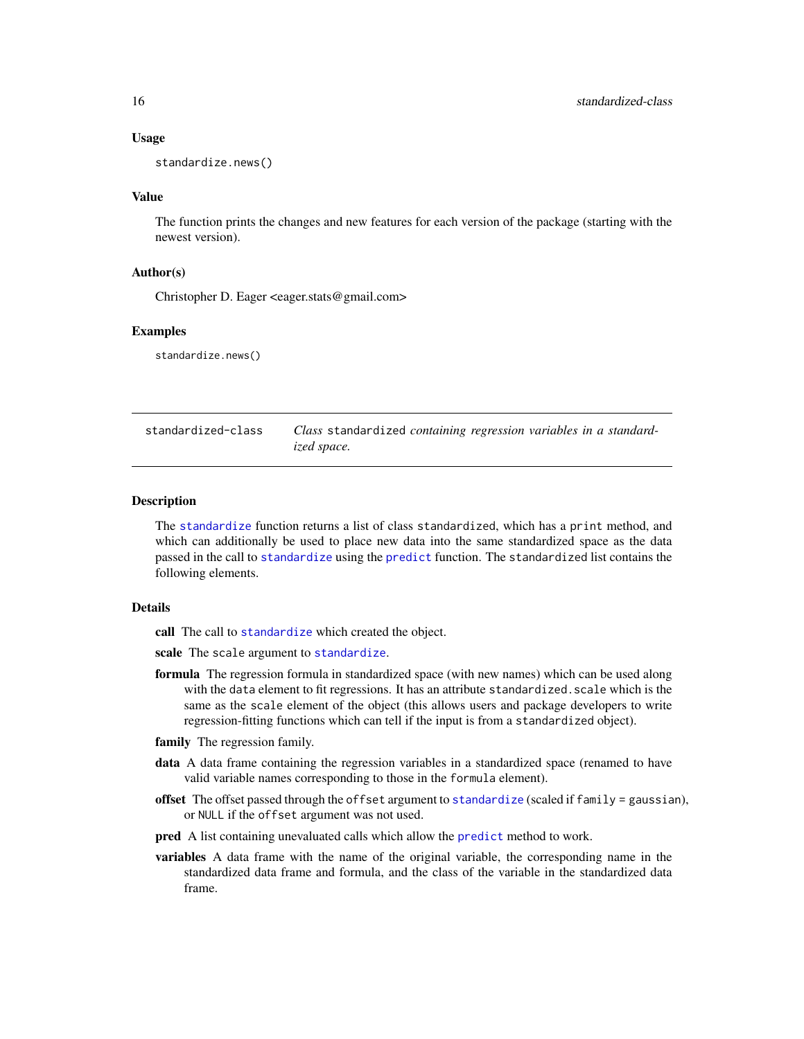#### <span id="page-15-0"></span>Usage

standardize.news()

#### Value

The function prints the changes and new features for each version of the package (starting with the newest version).

#### Author(s)

Christopher D. Eager <eager.stats@gmail.com>

#### Examples

standardize.news()

<span id="page-15-1"></span>

| standardized-class | Class standardized containing regression variables in a standard- |
|--------------------|-------------------------------------------------------------------|
|                    | ized space.                                                       |

#### Description

The [standardize](#page-12-1) function returns a list of class standardized, which has a print method, and which can additionally be used to place new data into the same standardized space as the data passed in the call to [standardize](#page-12-1) using the [predict](#page-5-1) function. The standardized list contains the following elements.

#### Details

call The call to [standardize](#page-12-1) which created the object.

scale The scale argument to [standardize](#page-12-1).

- formula The regression formula in standardized space (with new names) which can be used along with the data element to fit regressions. It has an attribute standardized. scale which is the same as the scale element of the object (this allows users and package developers to write regression-fitting functions which can tell if the input is from a standardized object).
- family The regression family.
- data A data frame containing the regression variables in a standardized space (renamed to have valid variable names corresponding to those in the formula element).
- offset The offset passed through the offset argument to [standardize](#page-12-1) (scaled if family = gaussian), or NULL if the offset argument was not used.
- pred A list containing unevaluated calls which allow the [predict](#page-5-1) method to work.
- variables A data frame with the name of the original variable, the corresponding name in the standardized data frame and formula, and the class of the variable in the standardized data frame.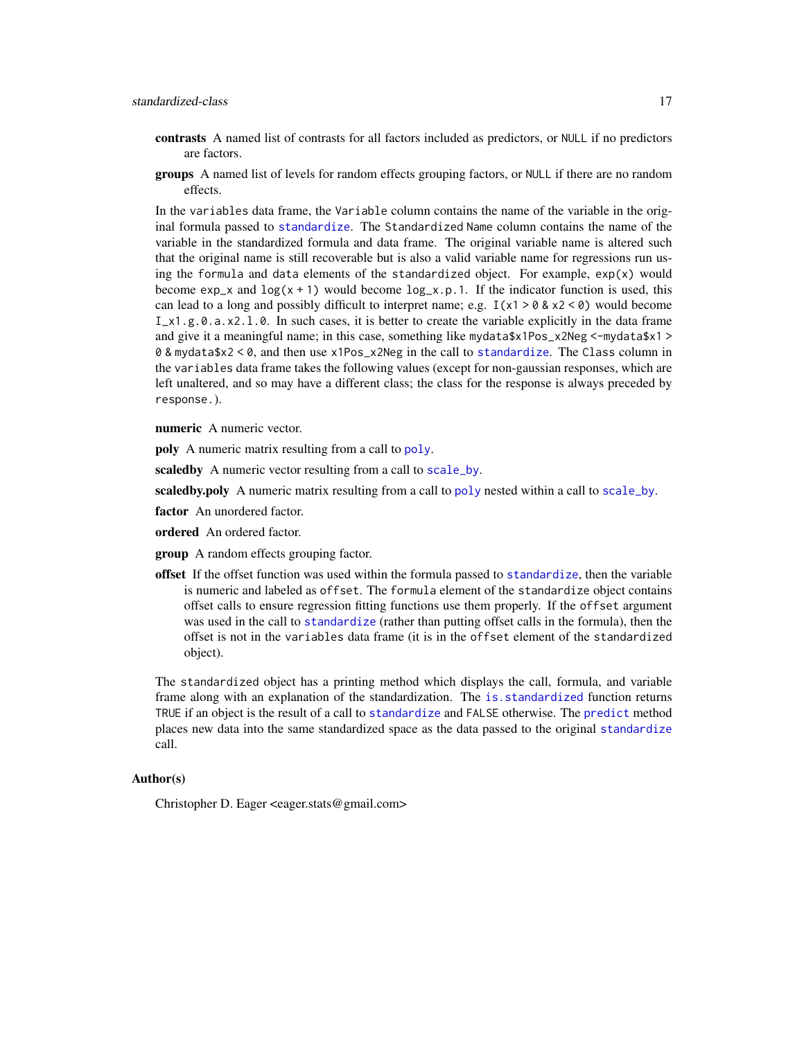- <span id="page-16-0"></span>contrasts A named list of contrasts for all factors included as predictors, or NULL if no predictors are factors.
- groups A named list of levels for random effects grouping factors, or NULL if there are no random effects.

In the variables data frame, the Variable column contains the name of the variable in the original formula passed to [standardize](#page-12-1). The Standardized Name column contains the name of the variable in the standardized formula and data frame. The original variable name is altered such that the original name is still recoverable but is also a valid variable name for regressions run using the formula and data elements of the standardized object. For example,  $exp(x)$  would become  $exp_x$  and  $log(x + 1)$  would become  $log_x p.1$ . If the indicator function is used, this can lead to a long and possibly difficult to interpret name; e.g.  $I(x1 > 0 & x2 < 0)$  would become  $I_x$ 1.g.0.a.x2.1.0. In such cases, it is better to create the variable explicitly in the data frame and give it a meaningful name; in this case, something like mydata\$x1Pos\_x2Neg <-mydata\$x1 > 0 & mydata\$x2 < 0, and then use x1Pos\_x2Neg in the call to [standardize](#page-12-1). The Class column in the variables data frame takes the following values (except for non-gaussian responses, which are left unaltered, and so may have a different class; the class for the response is always preceded by response.).

numeric A numeric vector.

**[poly](#page-0-0)** A numeric matrix resulting from a call to poly.

scaledby A numeric vector resulting from a call to [scale\\_by](#page-9-1).

scaledby.[poly](#page-0-0) A numeric matrix resulting from a call to poly nested within a call to [scale\\_by](#page-9-1).

factor An unordered factor.

ordered An ordered factor.

group A random effects grouping factor.

offset If the offset function was used within the formula passed to [standardize](#page-12-1), then the variable is numeric and labeled as offset. The formula element of the standardize object contains offset calls to ensure regression fitting functions use them properly. If the offset argument was used in the call to [standardize](#page-12-1) (rather than putting offset calls in the formula), then the offset is not in the variables data frame (it is in the offset element of the standardized object).

The standardized object has a printing method which displays the call, formula, and variable frame along with an explanation of the standardization. The [is.standardized](#page-2-1) function returns TRUE if an object is the result of a call to [standardize](#page-12-1) and FALSE otherwise. The [predict](#page-5-1) method places new data into the same standardized space as the data passed to the original [standardize](#page-12-1) call.

#### Author(s)

Christopher D. Eager <eager.stats@gmail.com>